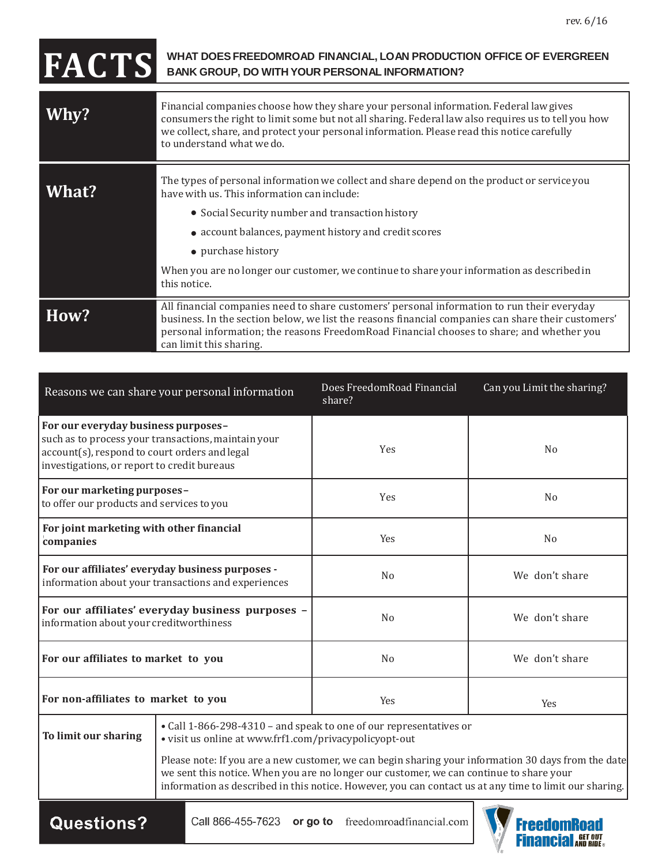## **FACTS WHAT DOESFREEDOMROAD FINANCIAL, LOAN PRODUCTION OFFICE OF EVERGREEN BANK GROUP, DO WITH YOUR PERSONAL INFORMATION?**

| Why?         | Financial companies choose how they share your personal information. Federal law gives<br>consumers the right to limit some but not all sharing. Federal law also requires us to tell you how<br>we collect, share, and protect your personal information. Please read this notice carefully<br>to understand what we do.                                                                   |
|--------------|---------------------------------------------------------------------------------------------------------------------------------------------------------------------------------------------------------------------------------------------------------------------------------------------------------------------------------------------------------------------------------------------|
| <b>What?</b> | The types of personal information we collect and share depend on the product or service you<br>have with us. This information can include:<br>• Social Security number and transaction history<br>• account balances, payment history and credit scores<br>• purchase history<br>When you are no longer our customer, we continue to share your information as described in<br>this notice. |
| How?         | All financial companies need to share customers' personal information to run their everyday<br>business. In the section below, we list the reasons financial companies can share their customers'<br>personal information; the reasons FreedomRoad Financial chooses to share; and whether you<br>can limit this sharing.                                                                   |

| Reasons we can share your personal information                                                                                                                                             |                                                                                                                              | Does FreedomRoad Financial<br>share?                                                    | Can you Limit the sharing?                                                                                                                                                                                    |
|--------------------------------------------------------------------------------------------------------------------------------------------------------------------------------------------|------------------------------------------------------------------------------------------------------------------------------|-----------------------------------------------------------------------------------------|---------------------------------------------------------------------------------------------------------------------------------------------------------------------------------------------------------------|
| For our everyday business purposes-<br>such as to process your transactions, maintain your<br>account(s), respond to court orders and legal<br>investigations, or report to credit bureaus |                                                                                                                              | Yes                                                                                     | No                                                                                                                                                                                                            |
| For our marketing purposes-<br>to offer our products and services to you                                                                                                                   |                                                                                                                              | Yes                                                                                     | N <sub>0</sub>                                                                                                                                                                                                |
| For joint marketing with other financial<br>companies                                                                                                                                      |                                                                                                                              | Yes                                                                                     | N <sub>0</sub>                                                                                                                                                                                                |
| For our affiliates' everyday business purposes -<br>information about your transactions and experiences                                                                                    |                                                                                                                              | N <sub>o</sub>                                                                          | We don't share                                                                                                                                                                                                |
| For our affiliates' everyday business purposes -<br>information about your creditworthiness                                                                                                |                                                                                                                              | N <sub>o</sub>                                                                          | We don't share                                                                                                                                                                                                |
| For our affiliates to market to you                                                                                                                                                        |                                                                                                                              | N <sub>0</sub>                                                                          | We don't share                                                                                                                                                                                                |
| For non-affiliates to market to you                                                                                                                                                        |                                                                                                                              | Yes                                                                                     | Yes                                                                                                                                                                                                           |
| To limit our sharing                                                                                                                                                                       | • Call 1-866-298-4310 - and speak to one of our representatives or<br>• visit us online at www.frf1.com/privacypolicyopt-out |                                                                                         |                                                                                                                                                                                                               |
|                                                                                                                                                                                            |                                                                                                                              | we sent this notice. When you are no longer our customer, we can continue to share your | Please note: If you are a new customer, we can begin sharing your information 30 days from the date<br>information as described in this notice. However, you can contact us at any time to limit our sharing. |

Questions?